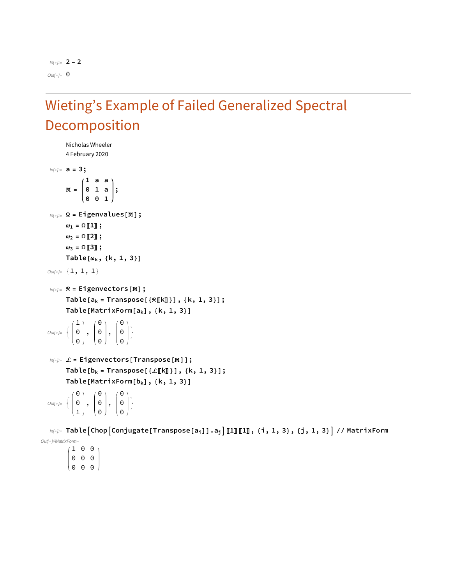*In[*!*]:=* **2 - 2** *Out[*!*]=* 0

## Wieting's Example of Failed Generalized Spectral Decomposition

```
Nicholas Wheeler
       4 February 2020
In[!]:= a = 3;
        # =
                1 a a
                0 1 a
                0 0 1
                            ;
In[!]:= Ω = Eigenvalues[#];
       \omega_1 = \Omega \llbracket 1 \rrbracket;
       \omega_2 = \Omega[2];
       \omega_3 = \Omega \llbracket 3 \rrbracket;
       Table[ωk, {k, 1, 3}]
Out[!]= {1, 1, 1}
In[!]:= ℛ = Eigenvectors[#];
       Table[ak = Transpose[{ℛ〚k〛}], {k, 1, 3}];
       Table[MatrixForm[ak], {k, 1, 3}]
Out[o]= {
            1
            \Theta\Theta,
                     \Theta\Theta\Theta,
                              \Theta\Theta\Theta\left\{ \right.In[!]:= ℒ = Eigenvectors[Transpose[#]];
       Table[bk = Transpose[{ℒ〚k〛}], {k, 1, 3}];
       Table[MatrixForm[bk], {k, 1, 3}]
Out[o]= {
            \Theta\Theta1
                ,
                     \Theta\Theta\Theta,
                              \Theta\Theta\Theta\left\{ \right.
```
 $\text{Im}[\text{Im} x] = \text{Table}[\text{Chop}[\text{Conjugate}[\text{Transpose}[a_i]]] . a_j] [\![1]\!] [\![1]\!]$ , {i, 1, 3}, {j, 1, 3}] // MatrixForm *Out[*!*]//MatrixForm=*

1 0 0 0 0 0 0 0 0